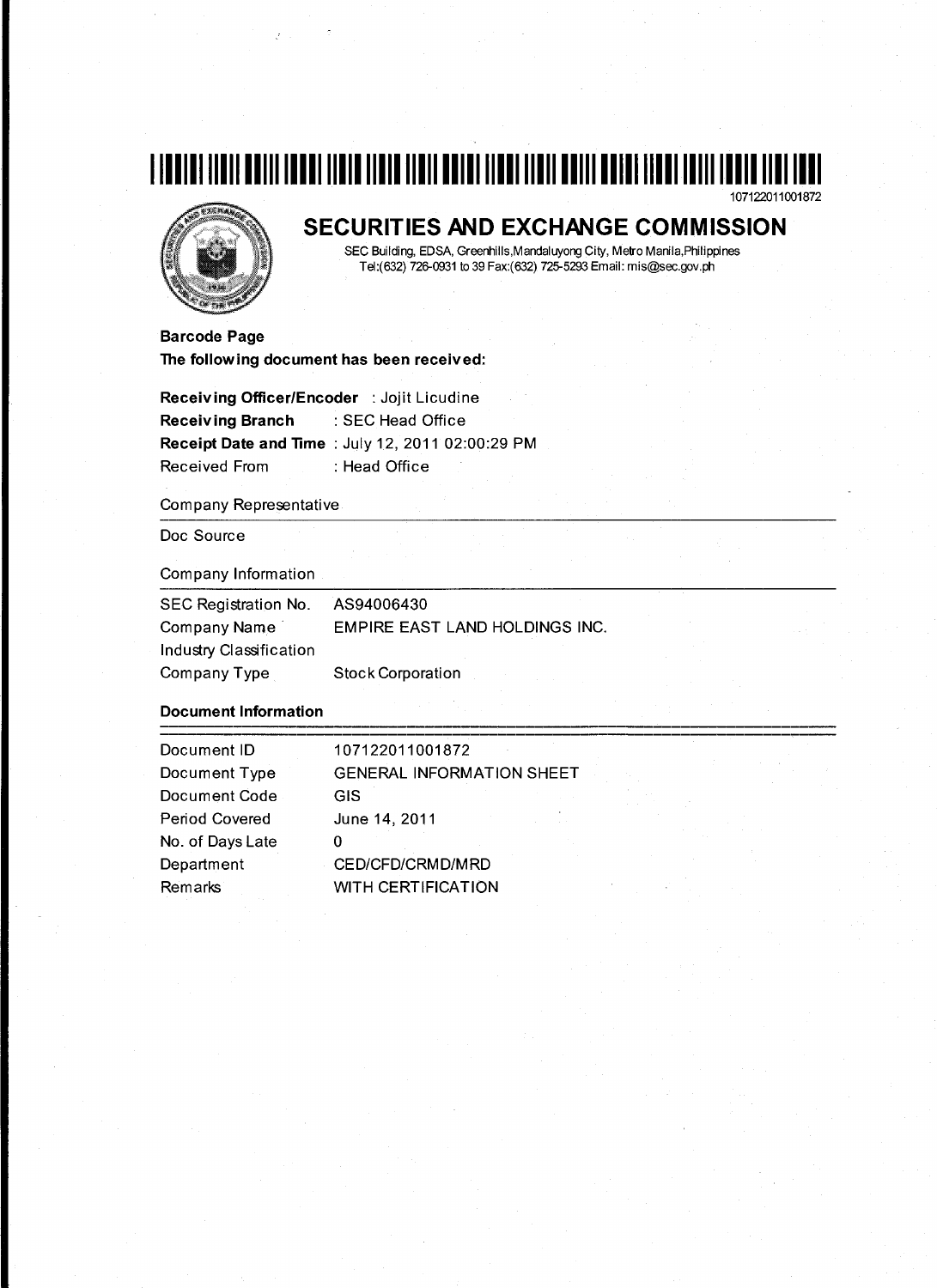



# **SECURITIES AND EXCHANGE COMMISSION**

SEC Building, EDSA, Greenhills,Mandaluyong City, Metro Manila,Philippines Tel:(632) 726-0931 to 39 Fax:(632) 725-5293 Email: mis@sec.gov.ph

**Barcode Page The following document has been received:** 

**Receiving Officer/Encoder** : Jojit Licudine **Receiving Branch** :SEC Head Office **Receipt Date and Time : July 12, 2011 02:00:29 PM** Received From : Head Office

#### Company Representative

Doc Source

#### Company Information

| SEC Registration No.    | AS94006430                     |
|-------------------------|--------------------------------|
| Company Name            | EMPIRE EAST LAND HOLDINGS INC. |
| Industry Classification |                                |
| Company Type            | <b>Stock Corporation</b>       |

### **Document Information**

| Document ID      | 107122011001872                  |
|------------------|----------------------------------|
| Document Type    | <b>GENERAL INFORMATION SHEET</b> |
| Document Code    | <b>GIS</b>                       |
| Period Covered   | June 14, 2011                    |
| No. of Days Late |                                  |
| Department       | CED/CFD/CRMD/MRD                 |
| Remarks          | <b>WITH CERTIFICATION</b>        |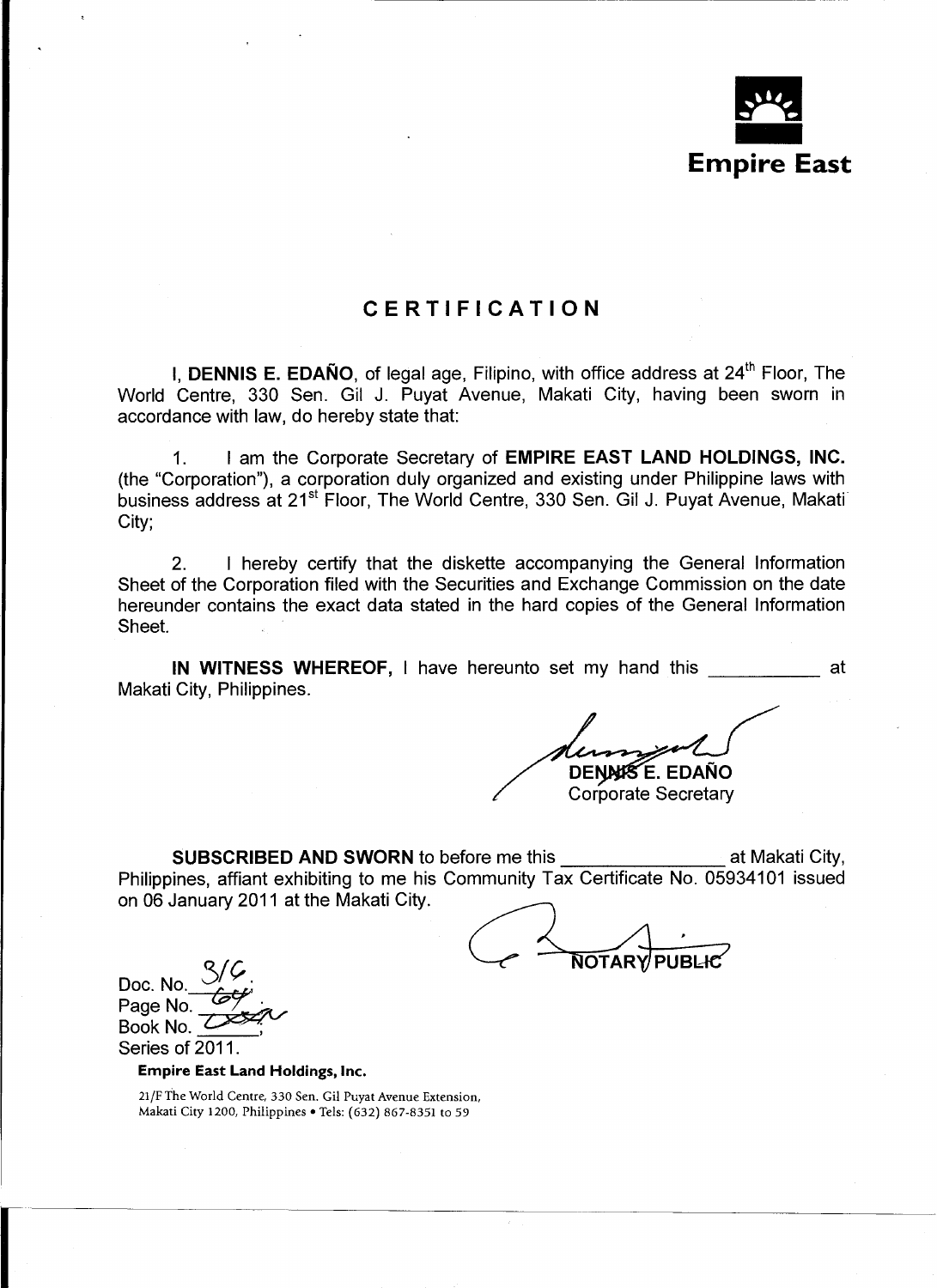

# CERTIFICATION

I, DENNIS E. EDAÑO, of legal age, Filipino, with office address at 24<sup>th</sup> Floor, The World Centre, 330 Sen. Gil J. Puyat Avenue, Makati City, having been sworn in accordance with law, do hereby state that:

1. I am the Corporate Secretary of **EMPIRE EAST LAND HOLDINGS, INC.** (the "Corporation"), a corporation duly organized and existing under Philippine laws with business address at 21<sup>st</sup> Floor, The World Centre, 330 Sen. Gil J. Puyat Avenue, Makati City;

2. I hereby certify that the diskette accompanying the General Information Sheet of the Corporation filed with the Securities and Exchange Commission on the date hereunder contains the exact data stated in the hard copies of the General Information Sheet.

IN WITNESS WHEREOF, I have hereunto set my hand this \_\_\_\_\_\_\_\_\_\_\_\_\_ at Makati City, Philippines.

**DENNISE. EDAÑO** 

**Corporate Secretary** 

SUBSCRIBED AND SWORN to before me this **All Accords** at Makati City, Philippines, affiant exhibiting to me his Community Tax Certificate No. 05934101 issued on 06 January 2011 at the Makati City.

**NOTARY PUBLIC** 

Doc. No. Page No. Book No. Series of 2011.

Empire East Land Holdings, Inc.

21/F The World Centre, 330 Sen. Gil Puyat Avenue Extension, Makati City 1200, Philippines • Tels: (632) 867-8351 to 59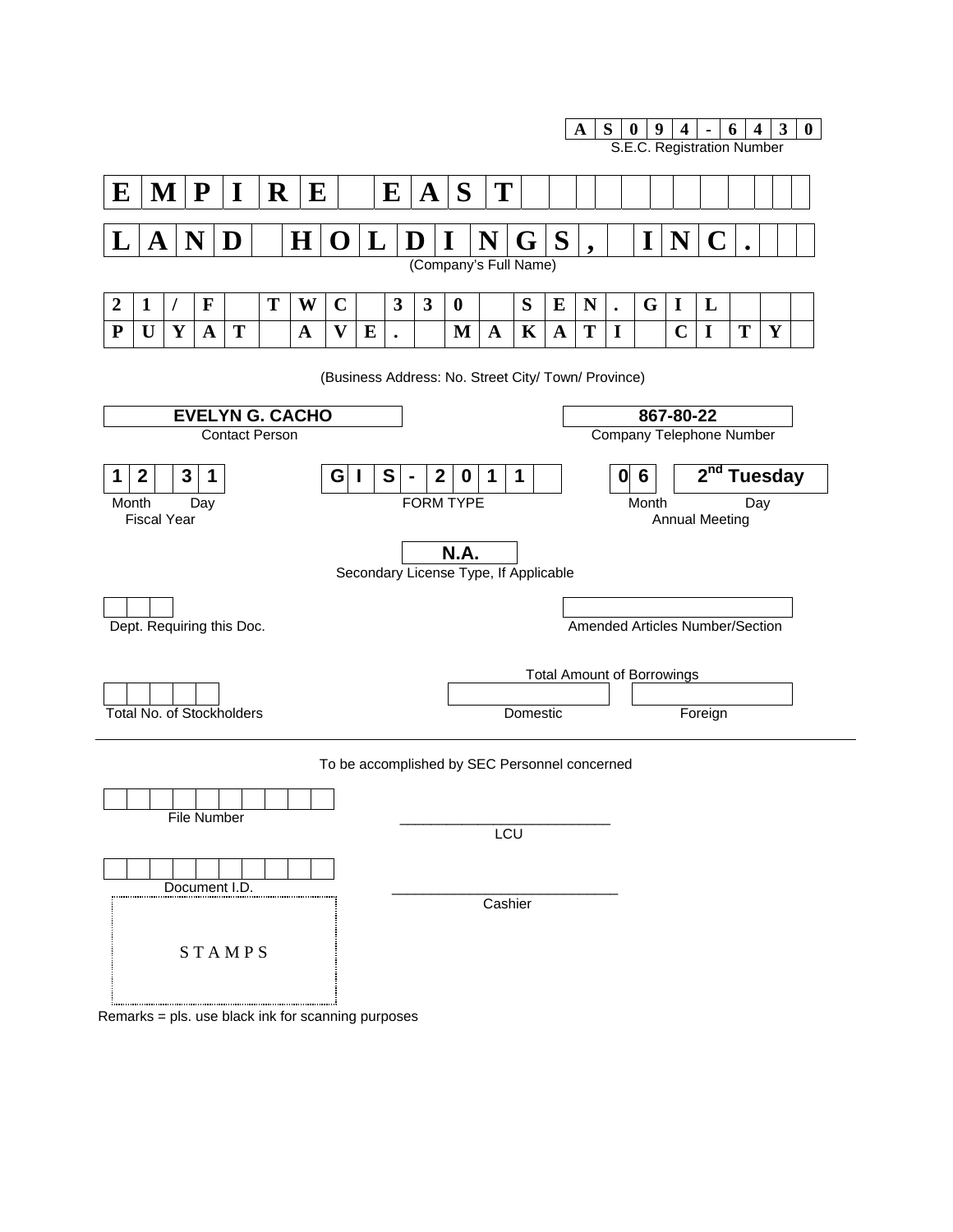

Remarks = pls. use black ink for scanning purposes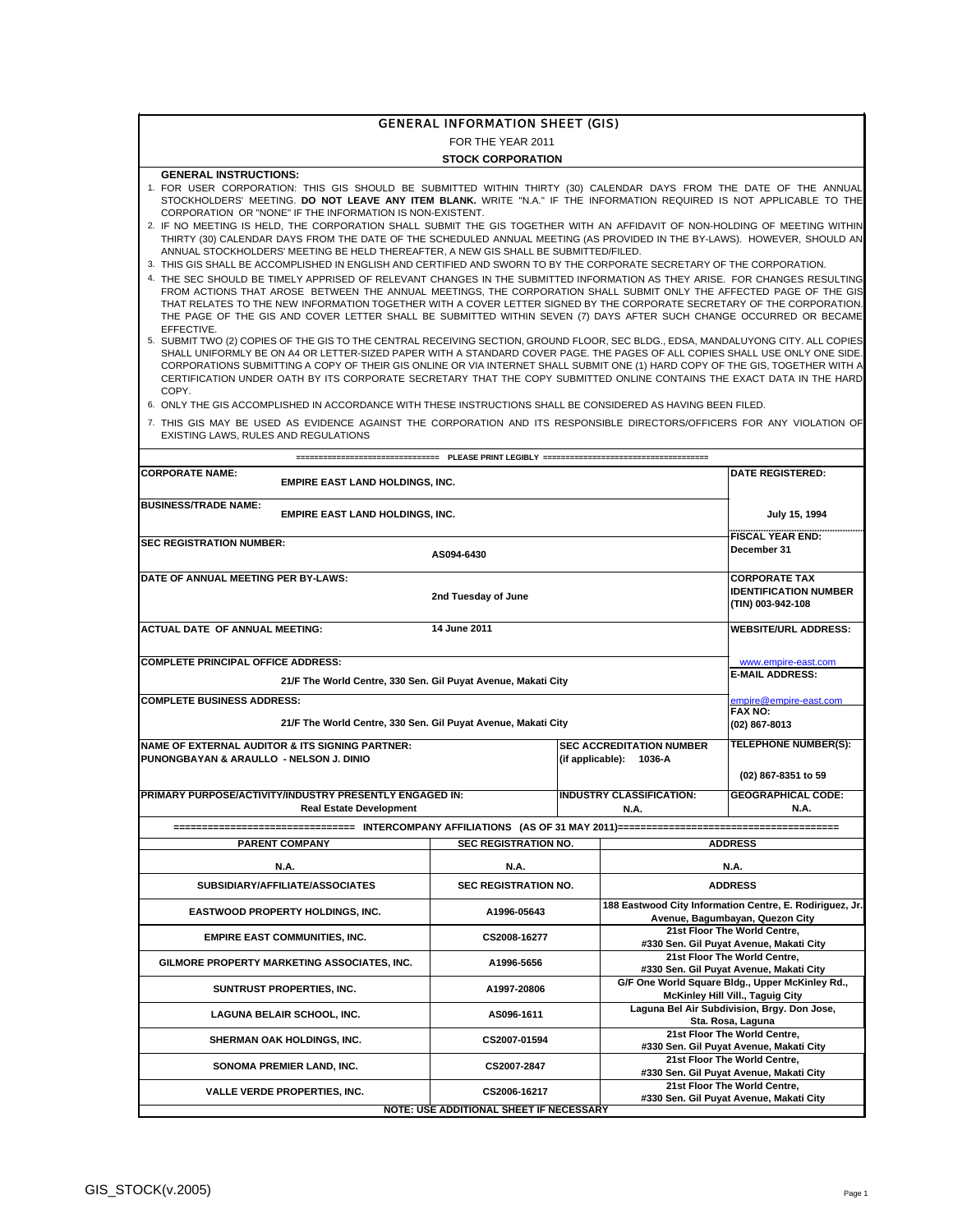#### GENERAL INFORMATION SHEET (GIS)

FOR THE YEAR 2011

#### **STOCK CORPORATION**

#### **GENERAL INSTRUCTIONS:**

- 1. FOR USER CORPORATION: THIS GIS SHOULD BE SUBMITTED WITHIN THIRTY (30) CALENDAR DAYS FROM THE DATE OF THE ANNUAL STOCKHOLDERS' MEETING. **DO NOT LEAVE ANY ITEM BLANK.** WRITE "N.A." IF THE INFORMATION REQUIRED IS NOT APPLICABLE TO THE CORPORATION OR "NONE" IF THE INFORMATION IS NON-EXISTENT.
- 2. IF NO MEETING IS HELD, THE CORPORATION SHALL SUBMIT THE GIS TOGETHER WITH AN AFFIDAVIT OF NON-HOLDING OF MEETING WITHIN THIRTY (30) CALENDAR DAYS FROM THE DATE OF THE SCHEDULED ANNUAL MEETING (AS PROVIDED IN THE BY-LAWS). HOWEVER, SHOULD AN ANNUAL STOCKHOLDERS' MEETING BE HELD THEREAFTER, A NEW GIS SHALL BE SUBMITTED/FILED.
- 3. THIS GIS SHALL BE ACCOMPLISHED IN ENGLISH AND CERTIFIED AND SWORN TO BY THE CORPORATE SECRETARY OF THE CORPORATION.
- 4. THE SEC SHOULD BE TIMELY APPRISED OF RELEVANT CHANGES IN THE SUBMITTED INFORMATION AS THEY ARISE. FOR CHANGES RESULTING FROM ACTIONS THAT AROSE BETWEEN THE ANNUAL MEETINGS, THE CORPORATION SHALL SUBMIT ONLY THE AFFECTED PAGE OF THE GIS THAT RELATES TO THE NEW INFORMATION TOGETHER WITH A COVER LETTER SIGNED BY THE CORPORATE SECRETARY OF THE CORPORATION. THE PAGE OF THE GIS AND COVER LETTER SHALL BE SUBMITTED WITHIN SEVEN (7) DAYS AFTER SUCH CHANGE OCCURRED OR BECAME EFFECTIVE.
- 5. SUBMIT TWO (2) COPIES OF THE GIS TO THE CENTRAL RECEIVING SECTION, GROUND FLOOR, SEC BLDG., EDSA, MANDALUYONG CITY. ALL COPIES SHALL UNIFORMLY BE ON A4 OR LETTER-SIZED PAPER WITH A STANDARD COVER PAGE. THE PAGES OF ALL COPIES SHALL USE ONLY ONE SIDE. CORPORATIONS SUBMITTING A COPY OF THEIR GIS ONLINE OR VIA INTERNET SHALL SUBMIT ONE (1) HARD COPY OF THE GIS, TOGETHER WITH A CERTIFICATION UNDER OATH BY ITS CORPORATE SECRETARY THAT THE COPY SUBMITTED ONLINE CONTAINS THE EXACT DATA IN THE HARD COPY.
- 6. ONLY THE GIS ACCOMPLISHED IN ACCORDANCE WITH THESE INSTRUCTIONS SHALL BE CONSIDERED AS HAVING BEEN FILED.

<sup>7.</sup>  THIS GIS MAY BE USED AS EVIDENCE AGAINST THE CORPORATION AND ITS RESPONSIBLE DIRECTORS/OFFICERS FOR ANY VIOLATION OF EXISTING LAWS, RULES AND REGULATIONS

| <b>CORPORATE NAME:</b><br><b>EMPIRE EAST LAND HOLDINGS, INC.</b>      | <b>DATE REGISTERED:</b>                                                                    |  |                                 |                                                                                             |  |  |  |  |
|-----------------------------------------------------------------------|--------------------------------------------------------------------------------------------|--|---------------------------------|---------------------------------------------------------------------------------------------|--|--|--|--|
| <b>BUSINESS/TRADE NAME:</b><br><b>EMPIRE EAST LAND HOLDINGS, INC.</b> | July 15, 1994                                                                              |  |                                 |                                                                                             |  |  |  |  |
| <b>SEC REGISTRATION NUMBER:</b>                                       | <b>FISCAL YEAR END:</b>                                                                    |  |                                 |                                                                                             |  |  |  |  |
|                                                                       | December 31                                                                                |  |                                 |                                                                                             |  |  |  |  |
| DATE OF ANNUAL MEETING PER BY-LAWS:                                   | <b>CORPORATE TAX</b>                                                                       |  |                                 |                                                                                             |  |  |  |  |
|                                                                       | <b>IDENTIFICATION NUMBER</b>                                                               |  |                                 |                                                                                             |  |  |  |  |
|                                                                       | (TIN) 003-942-108                                                                          |  |                                 |                                                                                             |  |  |  |  |
| <b>ACTUAL DATE OF ANNUAL MEETING:</b>                                 | 14 June 2011                                                                               |  |                                 | <b>WEBSITE/URL ADDRESS:</b>                                                                 |  |  |  |  |
|                                                                       |                                                                                            |  |                                 |                                                                                             |  |  |  |  |
| <b>COMPLETE PRINCIPAL OFFICE ADDRESS:</b>                             |                                                                                            |  |                                 | www.empire-east.com                                                                         |  |  |  |  |
| 21/F The World Centre, 330 Sen. Gil Puyat Avenue, Makati City         |                                                                                            |  |                                 | <b>E-MAIL ADDRESS:</b>                                                                      |  |  |  |  |
|                                                                       |                                                                                            |  |                                 |                                                                                             |  |  |  |  |
| <b>COMPLETE BUSINESS ADDRESS:</b>                                     |                                                                                            |  |                                 | empire@empire-east.com<br><b>FAX NO:</b>                                                    |  |  |  |  |
| 21/F The World Centre, 330 Sen. Gil Puyat Avenue, Makati City         |                                                                                            |  |                                 | (02) 867-8013                                                                               |  |  |  |  |
| <b>NAME OF EXTERNAL AUDITOR &amp; ITS SIGNING PARTNER:</b>            |                                                                                            |  | <b>SEC ACCREDITATION NUMBER</b> | <b>TELEPHONE NUMBER(S):</b>                                                                 |  |  |  |  |
| PUNONGBAYAN & ARAULLO - NELSON J. DINIO                               |                                                                                            |  |                                 |                                                                                             |  |  |  |  |
|                                                                       |                                                                                            |  | (if applicable): 1036-A         | (02) 867-8351 to 59                                                                         |  |  |  |  |
|                                                                       |                                                                                            |  |                                 |                                                                                             |  |  |  |  |
| PRIMARY PURPOSE/ACTIVITY/INDUSTRY PRESENTLY ENGAGED IN:               |                                                                                            |  | <b>INDUSTRY CLASSIFICATION:</b> | <b>GEOGRAPHICAL CODE:</b>                                                                   |  |  |  |  |
| <b>Real Estate Development</b>                                        |                                                                                            |  | <b>N.A.</b>                     | <b>N.A.</b>                                                                                 |  |  |  |  |
|                                                                       |                                                                                            |  |                                 | ----------------------                                                                      |  |  |  |  |
| <b>PARENT COMPANY</b>                                                 | <b>SEC REGISTRATION NO.</b>                                                                |  |                                 | <b>ADDRESS</b>                                                                              |  |  |  |  |
| <b>N.A.</b>                                                           | <b>N.A.</b>                                                                                |  |                                 | <b>N.A.</b>                                                                                 |  |  |  |  |
| SUBSIDIARY/AFFILIATE/ASSOCIATES                                       | <b>SEC REGISTRATION NO.</b>                                                                |  |                                 | <b>ADDRESS</b>                                                                              |  |  |  |  |
| <b>EASTWOOD PROPERTY HOLDINGS, INC.</b>                               | A1996-05643                                                                                |  |                                 | 188 Eastwood City Information Centre, E. Rodiriguez, Jr.<br>Avenue, Bagumbayan, Quezon City |  |  |  |  |
| <b>EMPIRE EAST COMMUNITIES, INC.</b>                                  | CS2008-16277                                                                               |  |                                 | 21st Floor The World Centre,                                                                |  |  |  |  |
|                                                                       |                                                                                            |  |                                 | #330 Sen. Gil Puyat Avenue, Makati City                                                     |  |  |  |  |
| GILMORE PROPERTY MARKETING ASSOCIATES, INC.                           | A1996-5656                                                                                 |  |                                 | 21st Floor The World Centre,<br>#330 Sen. Gil Puyat Avenue, Makati City                     |  |  |  |  |
| SUNTRUST PROPERTIES, INC.                                             | G/F One World Square Bldg., Upper McKinley Rd.,<br><b>McKinley Hill Vill., Taguig City</b> |  |                                 |                                                                                             |  |  |  |  |
| LAGUNA BELAIR SCHOOL, INC.                                            | Laguna Bel Air Subdivision, Brgy. Don Jose,<br>Sta. Rosa, Laguna                           |  |                                 |                                                                                             |  |  |  |  |
| SHERMAN OAK HOLDINGS, INC.                                            | CS2007-01594                                                                               |  |                                 | 21st Floor The World Centre,<br>#330 Sen. Gil Puyat Avenue, Makati City                     |  |  |  |  |
| SONOMA PREMIER LAND, INC.                                             | CS2007-2847                                                                                |  |                                 | 21st Floor The World Centre,<br>#330 Sen. Gil Puyat Avenue, Makati City                     |  |  |  |  |
| <b>VALLE VERDE PROPERTIES, INC.</b>                                   | CS2006-16217                                                                               |  |                                 | 21st Floor The World Centre,<br>#330 Sen. Gil Puyat Avenue, Makati City                     |  |  |  |  |
| <b>NOTE: USE ADDITIONAL SHEET IF NECESSARY</b>                        |                                                                                            |  |                                 |                                                                                             |  |  |  |  |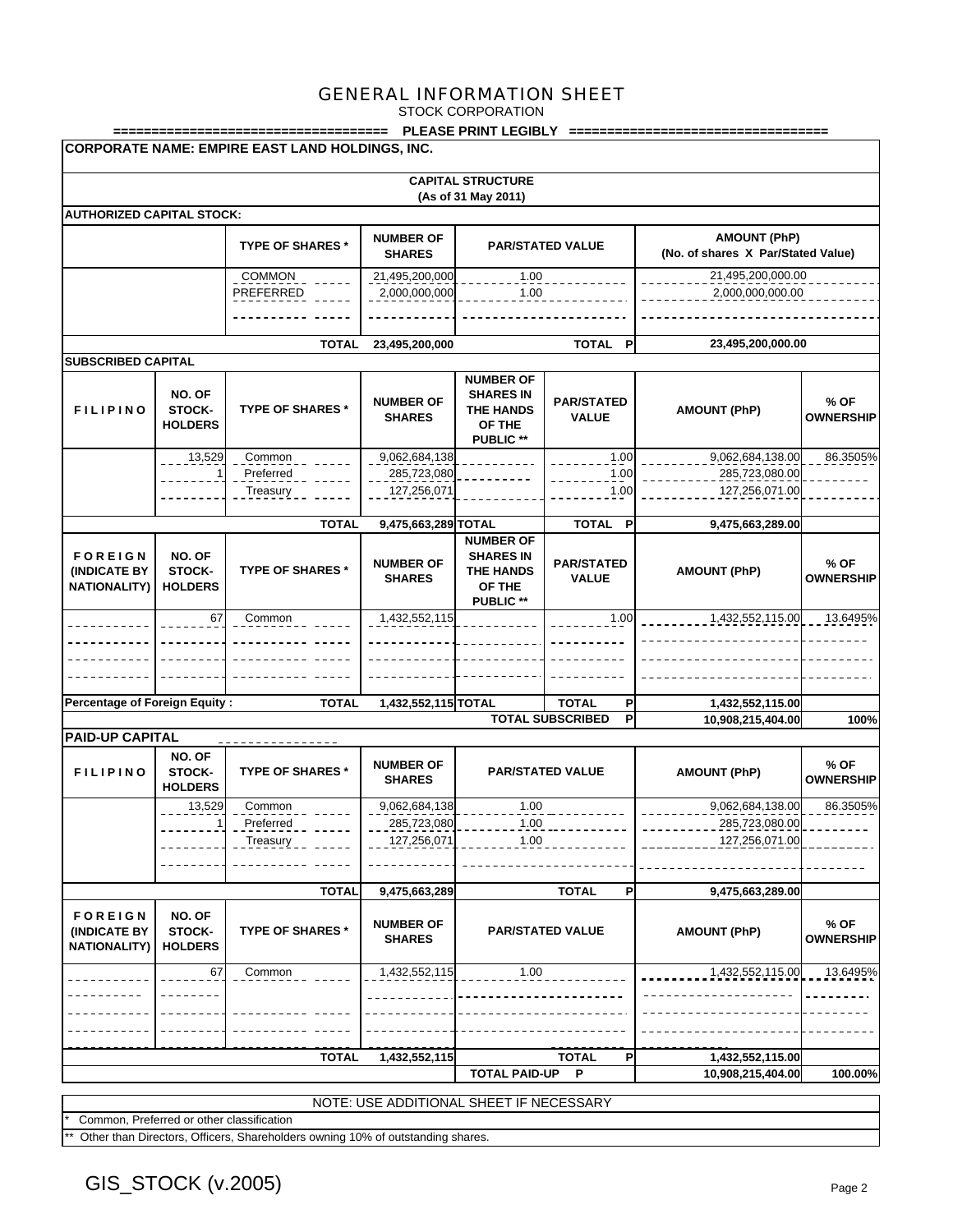STOCK CORPORATION

|                                                       |                                    | ============                                    |                                             |                                                                                        | PLEASE PRINT LEGIBLY ===================== |                                                           |                          |  |
|-------------------------------------------------------|------------------------------------|-------------------------------------------------|---------------------------------------------|----------------------------------------------------------------------------------------|--------------------------------------------|-----------------------------------------------------------|--------------------------|--|
|                                                       |                                    | CORPORATE NAME: EMPIRE EAST LAND HOLDINGS, INC. |                                             |                                                                                        |                                            |                                                           |                          |  |
|                                                       |                                    |                                                 |                                             | <b>CAPITAL STRUCTURE</b><br>(As of 31 May 2011)                                        |                                            |                                                           |                          |  |
| <b>AUTHORIZED CAPITAL STOCK:</b>                      |                                    |                                                 |                                             |                                                                                        |                                            |                                                           |                          |  |
|                                                       |                                    | <b>TYPE OF SHARES *</b>                         | <b>NUMBER OF</b><br><b>SHARES</b>           |                                                                                        | <b>PAR/STATED VALUE</b>                    | <b>AMOUNT (PhP)</b><br>(No. of shares X Par/Stated Value) |                          |  |
| <b>COMMON</b><br>PREFERRED                            |                                    |                                                 | 21,495,200,000<br>2,000,000,000             | 1.00<br>1.00                                                                           |                                            | 21,495,200,000.00<br>2,000,000,000.00                     |                          |  |
|                                                       |                                    |                                                 |                                             |                                                                                        |                                            |                                                           |                          |  |
|                                                       |                                    | <b>TOTAL</b>                                    | 23,495,200,000                              |                                                                                        | TOTAL P                                    | 23,495,200,000.00                                         |                          |  |
| <b>SUBSCRIBED CAPITAL</b><br><b>FILIPINO</b>          | NO. OF<br>STOCK-<br><b>HOLDERS</b> | <b>TYPE OF SHARES *</b>                         | <b>NUMBER OF</b><br><b>SHARES</b>           | <b>NUMBER OF</b><br><b>SHARES IN</b><br><b>THE HANDS</b><br>OF THE<br><b>PUBLIC **</b> | <b>PAR/STATED</b><br><b>VALUE</b>          | <b>AMOUNT (PhP)</b>                                       | % OF<br><b>OWNERSHIP</b> |  |
|                                                       | 13,529                             | Common<br>Preferred<br>Treasury                 | 9,062,684,138<br>285,723,080<br>127,256,071 |                                                                                        | 1.00<br>1.00<br>1.00                       | 9,062,684,138.00<br>285,723,080.00<br>127,256,071.00      | 86.3505%                 |  |
|                                                       |                                    |                                                 |                                             |                                                                                        |                                            |                                                           |                          |  |
| <b>FOREIGN</b><br>(INDICATE BY                        | NO. OF<br>STOCK-                   | <b>TOTAL</b><br><b>TYPE OF SHARES *</b>         | 9,475,663,289 TOTAL<br><b>NUMBER OF</b>     | <b>NUMBER OF</b><br><b>SHARES IN</b><br><b>THE HANDS</b>                               | TOTAL P<br><b>PAR/STATED</b>               | 9,475,663,289.00<br><b>AMOUNT (PhP)</b>                   | % OF                     |  |
| <b>NATIONALITY)</b>                                   | <b>HOLDERS</b>                     |                                                 | <b>SHARES</b>                               | OF THE<br>PUBLIC **                                                                    | <b>VALUE</b>                               |                                                           | <b>OWNERSHIP</b>         |  |
|                                                       | 67                                 | Common                                          | 1,432,552,115                               |                                                                                        | 1.00                                       | 1,432,552,115.00                                          | 13.6495%                 |  |
|                                                       |                                    |                                                 |                                             |                                                                                        |                                            |                                                           |                          |  |
|                                                       |                                    |                                                 |                                             |                                                                                        |                                            |                                                           |                          |  |
| <b>Percentage of Foreign Equity:</b>                  |                                    | <b>TOTAL</b>                                    | 1,432,552,115 TOTAL                         |                                                                                        | P<br><b>TOTAL</b>                          | 1,432,552,115.00                                          |                          |  |
| <b>PAID-UP CAPITAL</b>                                |                                    |                                                 |                                             |                                                                                        | <b>TOTAL SUBSCRIBED</b><br>P               | 10,908,215,404.00                                         | 100%                     |  |
| <b>FILIPINO</b>                                       | NO. OF<br>STOCK-<br><b>HOLDERS</b> | <b>TYPE OF SHARES *</b>                         | <b>NUMBER OF</b><br><b>SHARES</b>           |                                                                                        | <b>PAR/STATED VALUE</b>                    | <b>AMOUNT (PhP)</b>                                       | % OF<br><b>OWNERSHIP</b> |  |
|                                                       | 13,529                             | Common                                          | 9,062,684,138                               | 1.00                                                                                   |                                            | 9,062,684,138.00                                          | 86.3505%                 |  |
|                                                       | $\mathbf{1}$                       | Preferred<br>Treasury                           | 285,723,080<br>127,256,071                  | 1.00<br>1.00                                                                           |                                            | 285,723,080.00<br>127,256,071.00                          |                          |  |
|                                                       |                                    |                                                 |                                             |                                                                                        |                                            |                                                           |                          |  |
|                                                       |                                    | <b>TOTAL</b>                                    | 9,475,663,289                               |                                                                                        | <b>TOTAL</b><br>P                          | 9,475,663,289.00                                          |                          |  |
| <b>FOREIGN</b><br>(INDICATE BY<br><b>NATIONALITY)</b> | NO. OF<br>STOCK-<br><b>HOLDERS</b> | <b>TYPE OF SHARES*</b>                          | <b>NUMBER OF</b><br><b>SHARES</b>           |                                                                                        | <b>PAR/STATED VALUE</b>                    | <b>AMOUNT (PhP)</b>                                       | % OF<br><b>OWNERSHIP</b> |  |
|                                                       | 67                                 | Common                                          | 1,432,552,115                               | 1.00                                                                                   |                                            | 1,432,552,115.00                                          | 13.6495%                 |  |
|                                                       |                                    |                                                 |                                             |                                                                                        |                                            |                                                           |                          |  |
|                                                       |                                    |                                                 |                                             |                                                                                        |                                            |                                                           |                          |  |
|                                                       |                                    | <b>TOTAL</b>                                    | 1,432,552,115                               |                                                                                        | <b>TOTAL</b><br>P                          | 1,432,552,115.00                                          |                          |  |
|                                                       |                                    |                                                 |                                             | <b>TOTAL PAID-UP</b>                                                                   | P                                          | 10,908,215,404.00                                         | 100.00%                  |  |
|                                                       |                                    |                                                 | NOTE: USE ADDITIONAL SHEET IF NECESSARY     |                                                                                        |                                            |                                                           |                          |  |

Common, Preferred or other classification

Other than Directors, Officers, Shareholders owning 10% of outstanding shares.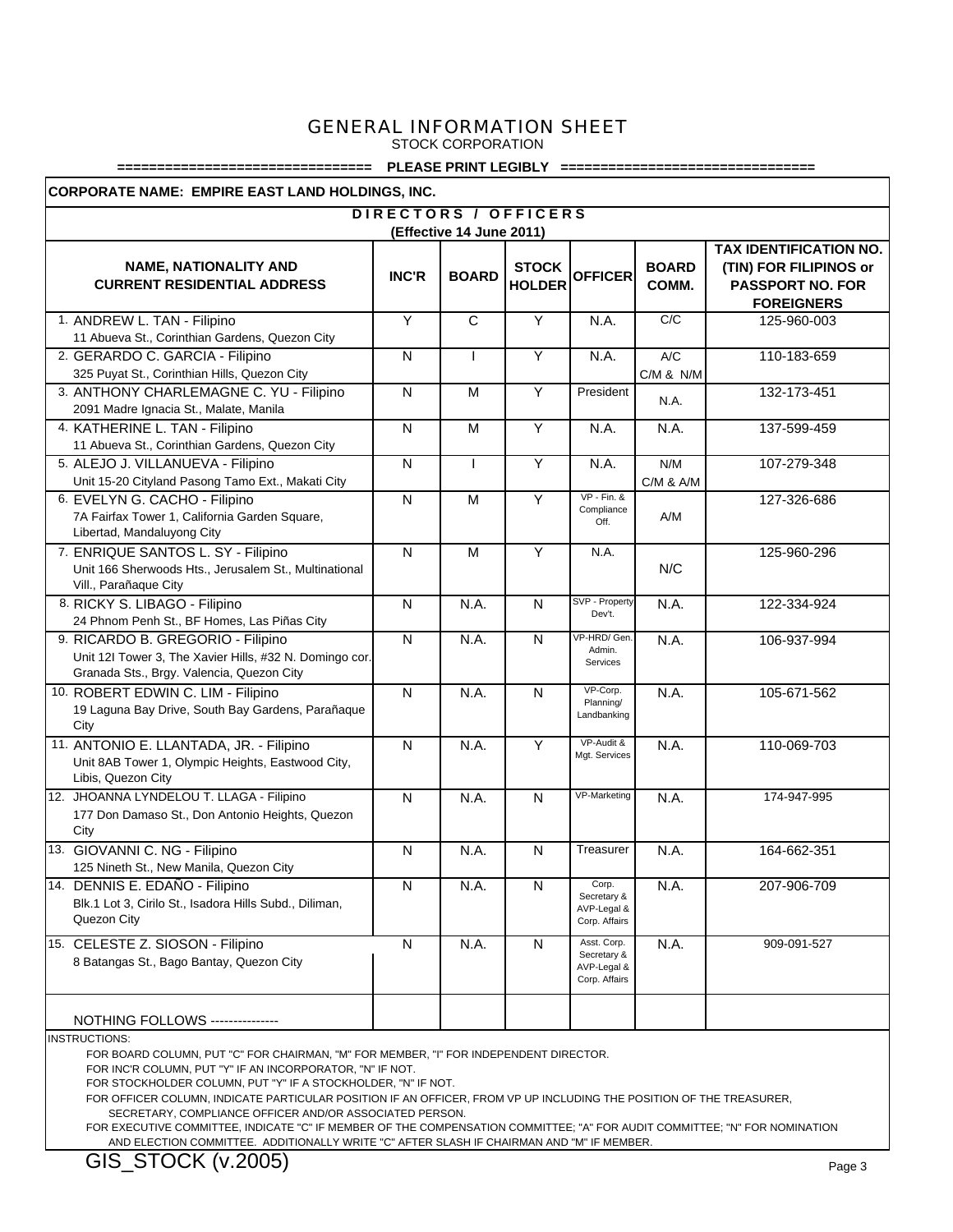STOCK CORPORATION

#### **================================ PLEASE PRINT LEGIBLY ================================**

**CORPORATE NAME: EMPIRE EAST LAND HOLDINGS, INC.**

| DIRECTORS / OFFICERS                                                              |                |              |                               |                              |                       |                                                                                                  |  |  |  |
|-----------------------------------------------------------------------------------|----------------|--------------|-------------------------------|------------------------------|-----------------------|--------------------------------------------------------------------------------------------------|--|--|--|
| (Effective 14 June 2011)                                                          |                |              |                               |                              |                       |                                                                                                  |  |  |  |
| <b>NAME, NATIONALITY AND</b><br><b>CURRENT RESIDENTIAL ADDRESS</b>                | <b>INC'R</b>   | <b>BOARD</b> | <b>STOCK</b><br><b>HOLDER</b> | <b>OFFICER</b>               | <b>BOARD</b><br>COMM. | TAX IDENTIFICATION NO.<br>(TIN) FOR FILIPINOS or<br><b>PASSPORT NO. FOR</b><br><b>FOREIGNERS</b> |  |  |  |
| 1. ANDREW L. TAN - Filipino                                                       | Ÿ              | $\mathsf{C}$ | Ÿ                             | N.A.                         | C/C                   | 125-960-003                                                                                      |  |  |  |
| 11 Abueva St., Corinthian Gardens, Quezon City                                    |                |              |                               |                              |                       |                                                                                                  |  |  |  |
| 2. GERARDO C. GARCIA - Filipino                                                   | N              |              | Y                             | N.A.                         | A/C                   | 110-183-659                                                                                      |  |  |  |
| 325 Puyat St., Corinthian Hills, Quezon City                                      |                |              |                               |                              | C/M & N/M             |                                                                                                  |  |  |  |
| 3. ANTHONY CHARLEMAGNE C. YU - Filipino<br>2091 Madre Ignacia St., Malate, Manila | ${\sf N}$      | M            | Y                             | President                    | N.A.                  | 132-173-451                                                                                      |  |  |  |
| 4. KATHERINE L. TAN - Filipino                                                    | N              | M            | Y                             | N.A.                         | N.A.                  | 137-599-459                                                                                      |  |  |  |
| 11 Abueva St., Corinthian Gardens, Quezon City                                    |                |              |                               |                              |                       |                                                                                                  |  |  |  |
| 5. ALEJO J. VILLANUEVA - Filipino                                                 | N              | $\mathbf{I}$ | Y                             | N.A.                         | N/M                   | 107-279-348                                                                                      |  |  |  |
| Unit 15-20 Cityland Pasong Tamo Ext., Makati City                                 |                |              |                               | $VP - Fin.$ &                | C/M & A/M             |                                                                                                  |  |  |  |
| 6. EVELYN G. CACHO - Filipino<br>7A Fairfax Tower 1, California Garden Square,    | $\overline{N}$ | M            | Y                             | Compliance<br>Off.           | A/M                   | 127-326-686                                                                                      |  |  |  |
| Libertad, Mandaluyong City                                                        |                |              |                               |                              |                       |                                                                                                  |  |  |  |
| 7. ENRIQUE SANTOS L. SY - Filipino                                                | N              | M            | Y                             | N.A.                         |                       | 125-960-296                                                                                      |  |  |  |
| Unit 166 Sherwoods Hts., Jerusalem St., Multinational<br>Vill., Parañaque City    |                |              |                               |                              | N/C                   |                                                                                                  |  |  |  |
| 8. RICKY S. LIBAGO - Filipino                                                     | N              | N.A.         | N                             | SVP - Property               | N.A.                  | 122-334-924                                                                                      |  |  |  |
| 24 Phnom Penh St., BF Homes, Las Piñas City                                       |                |              |                               | Dev't.                       |                       |                                                                                                  |  |  |  |
| 9. RICARDO B. GREGORIO - Filipino                                                 | $\overline{N}$ | N.A.         | $\mathsf{N}$                  | VP-HRD/Gen                   | N.A.                  | 106-937-994                                                                                      |  |  |  |
| Unit 12I Tower 3, The Xavier Hills, #32 N. Domingo cor.                           |                |              |                               | Admin.                       |                       |                                                                                                  |  |  |  |
| Granada Sts., Brgy. Valencia, Quezon City                                         |                |              |                               | Services                     |                       |                                                                                                  |  |  |  |
| 10. ROBERT EDWIN C. LIM - Filipino                                                | N              | N.A.         | $\mathsf{N}$                  | VP-Corp.                     | N.A.                  | 105-671-562                                                                                      |  |  |  |
| 19 Laguna Bay Drive, South Bay Gardens, Parañaque                                 |                |              |                               | Planning/<br>Landbanking     |                       |                                                                                                  |  |  |  |
| City                                                                              |                |              |                               |                              |                       |                                                                                                  |  |  |  |
| 11. ANTONIO E. LLANTADA, JR. - Filipino                                           | N              | N.A.         | Y                             | VP-Audit &<br>Mgt. Services  | N.A.                  | 110-069-703                                                                                      |  |  |  |
| Unit 8AB Tower 1, Olympic Heights, Eastwood City,                                 |                |              |                               |                              |                       |                                                                                                  |  |  |  |
| Libis, Quezon City                                                                |                |              |                               |                              |                       |                                                                                                  |  |  |  |
| 12. JHOANNA LYNDELOU T. LLAGA - Filipino                                          | N              | N.A.         | $\mathsf{N}$                  | VP-Marketing                 | N.A.                  | 174-947-995                                                                                      |  |  |  |
| 177 Don Damaso St., Don Antonio Heights, Quezon<br>City                           |                |              |                               |                              |                       |                                                                                                  |  |  |  |
| 13. GIOVANNI C. NG - Filipino                                                     | N              | N.A.         | $\mathsf{N}$                  | Treasurer                    | N.A.                  |                                                                                                  |  |  |  |
| 125 Nineth St., New Manila, Quezon City                                           |                |              |                               |                              |                       | 164-662-351                                                                                      |  |  |  |
| 14. DENNIS E. EDAÑO - Filipino                                                    | N              | N.A.         | $\mathsf{N}$                  | Corp.                        | N.A.                  | 207-906-709                                                                                      |  |  |  |
| Blk.1 Lot 3, Cirilo St., Isadora Hills Subd., Diliman,                            |                |              |                               | Secretary &                  |                       |                                                                                                  |  |  |  |
| Quezon City                                                                       |                |              |                               | AVP-Legal &<br>Corp. Affairs |                       |                                                                                                  |  |  |  |
| 15. CELESTE Z. SIOSON - Filipino                                                  | N              | N.A.         | N                             | Asst. Corp.                  | N.A.                  | 909-091-527                                                                                      |  |  |  |
| 8 Batangas St., Bago Bantay, Quezon City                                          |                |              |                               | Secretary &                  |                       |                                                                                                  |  |  |  |
|                                                                                   |                |              |                               | AVP-Legal &<br>Corp. Affairs |                       |                                                                                                  |  |  |  |
|                                                                                   |                |              |                               |                              |                       |                                                                                                  |  |  |  |
| <b>NOTHING FOLLOWS ---------------</b>                                            |                |              |                               |                              |                       |                                                                                                  |  |  |  |

INSTRUCTIONS:

FOR BOARD COLUMN, PUT "C" FOR CHAIRMAN, "M" FOR MEMBER, "I" FOR INDEPENDENT DIRECTOR.

FOR INC'R COLUMN, PUT "Y" IF AN INCORPORATOR, "N" IF NOT.

FOR STOCKHOLDER COLUMN, PUT "Y" IF A STOCKHOLDER, "N" IF NOT.

FOR OFFICER COLUMN, INDICATE PARTICULAR POSITION IF AN OFFICER, FROM VP UP INCLUDING THE POSITION OF THE TREASURER,

SECRETARY, COMPLIANCE OFFICER AND/OR ASSOCIATED PERSON.

 FOR EXECUTIVE COMMITTEE, INDICATE "C" IF MEMBER OF THE COMPENSATION COMMITTEE; "A" FOR AUDIT COMMITTEE; "N" FOR NOMINATION AND ELECTION COMMITTEE. ADDITIONALLY WRITE "C" AFTER SLASH IF CHAIRMAN AND "M" IF MEMBER.

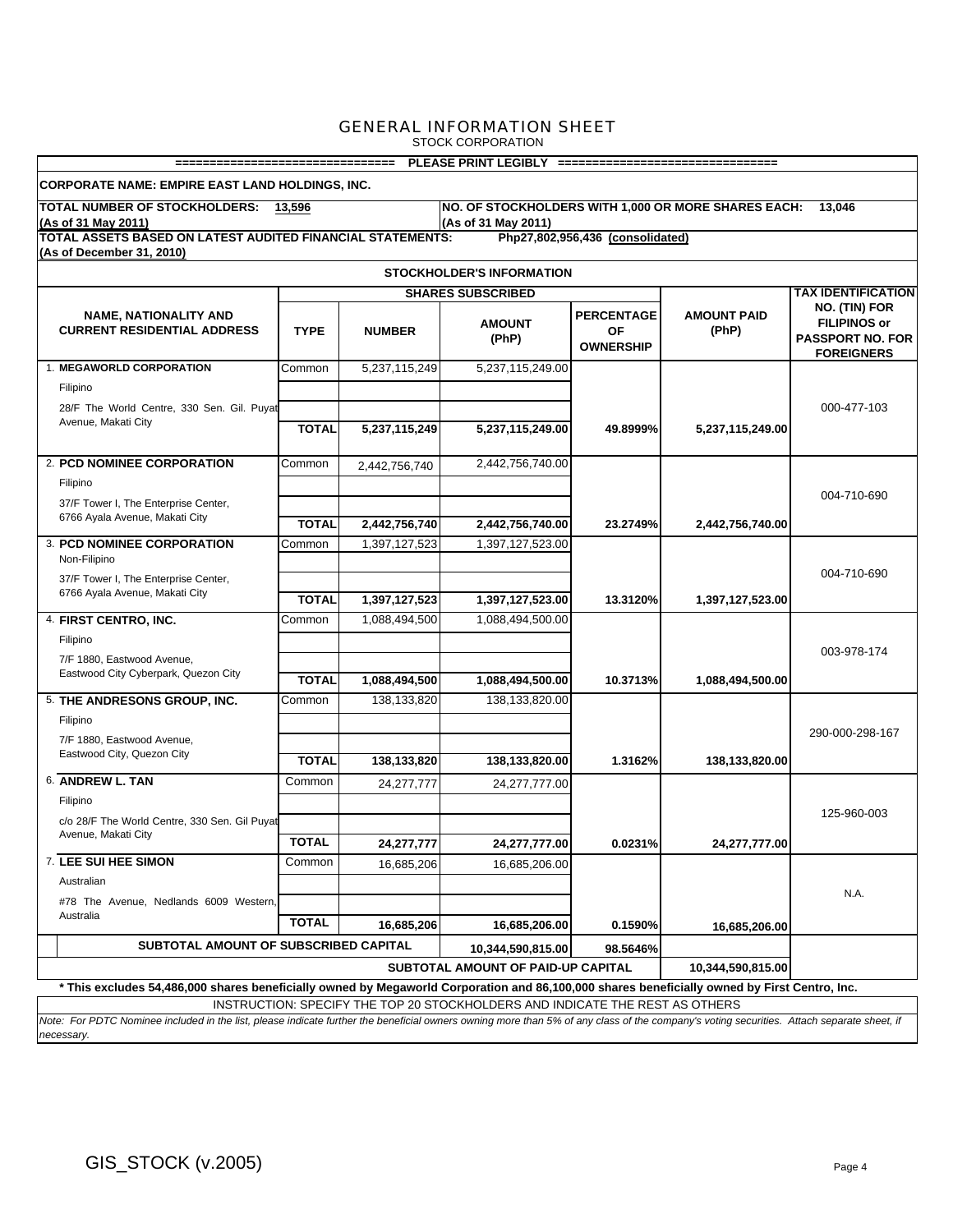| PLEASE PRINT LEGIBLY ==================================<br>=================================                                                        |                                                                                                                                                                                           |               |                          |                                                    |                             |                                                                                      |  |  |  |  |
|-----------------------------------------------------------------------------------------------------------------------------------------------------|-------------------------------------------------------------------------------------------------------------------------------------------------------------------------------------------|---------------|--------------------------|----------------------------------------------------|-----------------------------|--------------------------------------------------------------------------------------|--|--|--|--|
| CORPORATE NAME: EMPIRE EAST LAND HOLDINGS, INC.                                                                                                     |                                                                                                                                                                                           |               |                          |                                                    |                             |                                                                                      |  |  |  |  |
| TOTAL NUMBER OF STOCKHOLDERS: 13,596<br>NO. OF STOCKHOLDERS WITH 1,000 OR MORE SHARES EACH:<br>13.046<br>(As of 31 May 2011)<br>(As of 31 May 2011) |                                                                                                                                                                                           |               |                          |                                                    |                             |                                                                                      |  |  |  |  |
| TOTAL ASSETS BASED ON LATEST AUDITED FINANCIAL STATEMENTS:<br>(As of December 31, 2010)                                                             |                                                                                                                                                                                           |               |                          | Php27,802,956,436 (consolidated)                   |                             |                                                                                      |  |  |  |  |
| <b>STOCKHOLDER'S INFORMATION</b>                                                                                                                    |                                                                                                                                                                                           |               |                          |                                                    |                             |                                                                                      |  |  |  |  |
|                                                                                                                                                     |                                                                                                                                                                                           |               | <b>SHARES SUBSCRIBED</b> |                                                    |                             | <b>TAX IDENTIFICATION</b>                                                            |  |  |  |  |
| <b>NAME, NATIONALITY AND</b><br><b>CURRENT RESIDENTIAL ADDRESS</b>                                                                                  | <b>TYPE</b>                                                                                                                                                                               | <b>NUMBER</b> | <b>AMOUNT</b><br>(PhP)   | <b>PERCENTAGE</b><br><b>OF</b><br><b>OWNERSHIP</b> | <b>AMOUNT PAID</b><br>(PhP) | NO. (TIN) FOR<br><b>FILIPINOS or</b><br><b>PASSPORT NO. FOR</b><br><b>FOREIGNERS</b> |  |  |  |  |
| 1. MEGAWORLD CORPORATION                                                                                                                            | Common                                                                                                                                                                                    | 5,237,115,249 | 5,237,115,249.00         |                                                    |                             |                                                                                      |  |  |  |  |
| Filipino                                                                                                                                            |                                                                                                                                                                                           |               |                          |                                                    |                             |                                                                                      |  |  |  |  |
| 28/F The World Centre, 330 Sen. Gil. Puyat<br>Avenue, Makati City                                                                                   |                                                                                                                                                                                           |               |                          |                                                    |                             | 000-477-103                                                                          |  |  |  |  |
|                                                                                                                                                     | <b>TOTAL</b>                                                                                                                                                                              | 5,237,115,249 | 5,237,115,249.00         | 49.8999%                                           | 5,237,115,249.00            |                                                                                      |  |  |  |  |
| 2. PCD NOMINEE CORPORATION                                                                                                                          | Common                                                                                                                                                                                    | 2,442,756,740 | 2,442,756,740.00         |                                                    |                             |                                                                                      |  |  |  |  |
| Filipino                                                                                                                                            |                                                                                                                                                                                           |               |                          |                                                    |                             | 004-710-690                                                                          |  |  |  |  |
| 37/F Tower I, The Enterprise Center,                                                                                                                |                                                                                                                                                                                           |               |                          |                                                    |                             |                                                                                      |  |  |  |  |
| 6766 Ayala Avenue, Makati City                                                                                                                      | <b>TOTAL</b>                                                                                                                                                                              | 2,442,756,740 | 2,442,756,740.00         | 23.2749%                                           | 2,442,756,740.00            |                                                                                      |  |  |  |  |
| 3. PCD NOMINEE CORPORATION<br>Non-Filipino                                                                                                          | Common                                                                                                                                                                                    | 1,397,127,523 | 1,397,127,523.00         |                                                    |                             |                                                                                      |  |  |  |  |
| 37/F Tower I, The Enterprise Center,                                                                                                                |                                                                                                                                                                                           |               |                          |                                                    |                             | 004-710-690                                                                          |  |  |  |  |
| 6766 Ayala Avenue, Makati City                                                                                                                      | <b>TOTAL</b>                                                                                                                                                                              | 1,397,127,523 | 1,397,127,523.00         | 13.3120%                                           | 1,397,127,523.00            |                                                                                      |  |  |  |  |
| 4. FIRST CENTRO, INC.                                                                                                                               | Common                                                                                                                                                                                    | 1,088,494,500 | 1,088,494,500.00         |                                                    |                             |                                                                                      |  |  |  |  |
| Filipino                                                                                                                                            |                                                                                                                                                                                           |               |                          |                                                    |                             |                                                                                      |  |  |  |  |
| 7/F 1880, Eastwood Avenue,                                                                                                                          |                                                                                                                                                                                           |               |                          |                                                    |                             | 003-978-174                                                                          |  |  |  |  |
| Eastwood City Cyberpark, Quezon City                                                                                                                | <b>TOTAL</b>                                                                                                                                                                              | 1,088,494,500 | 1,088,494,500.00         | 10.3713%                                           | 1,088,494,500.00            |                                                                                      |  |  |  |  |
| 5. THE ANDRESONS GROUP, INC.                                                                                                                        | Common                                                                                                                                                                                    | 138,133,820   | 138,133,820.00           |                                                    |                             |                                                                                      |  |  |  |  |
| Filipino                                                                                                                                            |                                                                                                                                                                                           |               |                          |                                                    |                             | 290-000-298-167                                                                      |  |  |  |  |
| 7/F 1880, Eastwood Avenue,                                                                                                                          |                                                                                                                                                                                           |               |                          |                                                    |                             |                                                                                      |  |  |  |  |
| Eastwood City, Quezon City                                                                                                                          | <b>TOTAL</b>                                                                                                                                                                              | 138,133,820   | 138,133,820.00           | 1.3162%                                            | 138,133,820.00              |                                                                                      |  |  |  |  |
| 6. ANDREW L. TAN                                                                                                                                    | Common                                                                                                                                                                                    | 24,277,777    | 24,277,777.00            |                                                    |                             |                                                                                      |  |  |  |  |
| Filipino                                                                                                                                            |                                                                                                                                                                                           |               |                          |                                                    |                             | 125-960-003                                                                          |  |  |  |  |
| c/o 28/F The World Centre, 330 Sen. Gil Puyat<br>Avenue, Makati City                                                                                |                                                                                                                                                                                           |               |                          |                                                    |                             |                                                                                      |  |  |  |  |
|                                                                                                                                                     | <b>TOTAL</b>                                                                                                                                                                              | 24,277,777    | 24,277,777.00            | 0.0231%                                            | 24,277,777.00               |                                                                                      |  |  |  |  |
| 7. LEE SUI HEE SIMON                                                                                                                                | Common                                                                                                                                                                                    | 16,685,206    | 16,685,206.00            |                                                    |                             |                                                                                      |  |  |  |  |
| Australian                                                                                                                                          |                                                                                                                                                                                           |               |                          |                                                    |                             | N.A.                                                                                 |  |  |  |  |
| #78 The Avenue, Nedlands 6009 Western,<br>Australia                                                                                                 |                                                                                                                                                                                           |               |                          |                                                    |                             |                                                                                      |  |  |  |  |
|                                                                                                                                                     | <b>TOTAL</b>                                                                                                                                                                              | 16,685,206    | 16,685,206.00            | 0.1590%                                            | 16,685,206.00               |                                                                                      |  |  |  |  |
| SUBTOTAL AMOUNT OF SUBSCRIBED CAPITAL<br>10,344,590,815.00<br>98.5646%                                                                              |                                                                                                                                                                                           |               |                          |                                                    |                             |                                                                                      |  |  |  |  |
| SUBTOTAL AMOUNT OF PAID-UP CAPITAL<br>10,344,590,815.00                                                                                             |                                                                                                                                                                                           |               |                          |                                                    |                             |                                                                                      |  |  |  |  |
| * This excludes 54,486,000 shares beneficially owned by Megaworld Corporation and 86,100,000 shares beneficially owned by First Centro, Inc.        |                                                                                                                                                                                           |               |                          |                                                    |                             |                                                                                      |  |  |  |  |
|                                                                                                                                                     | INSTRUCTION: SPECIFY THE TOP 20 STOCKHOLDERS AND INDICATE THE REST AS OTHERS                                                                                                              |               |                          |                                                    |                             |                                                                                      |  |  |  |  |
| necessary.                                                                                                                                          | Note: For PDTC Nominee included in the list, please indicate further the beneficial owners owning more than 5% of any class of the company's voting securities. Attach separate sheet, if |               |                          |                                                    |                             |                                                                                      |  |  |  |  |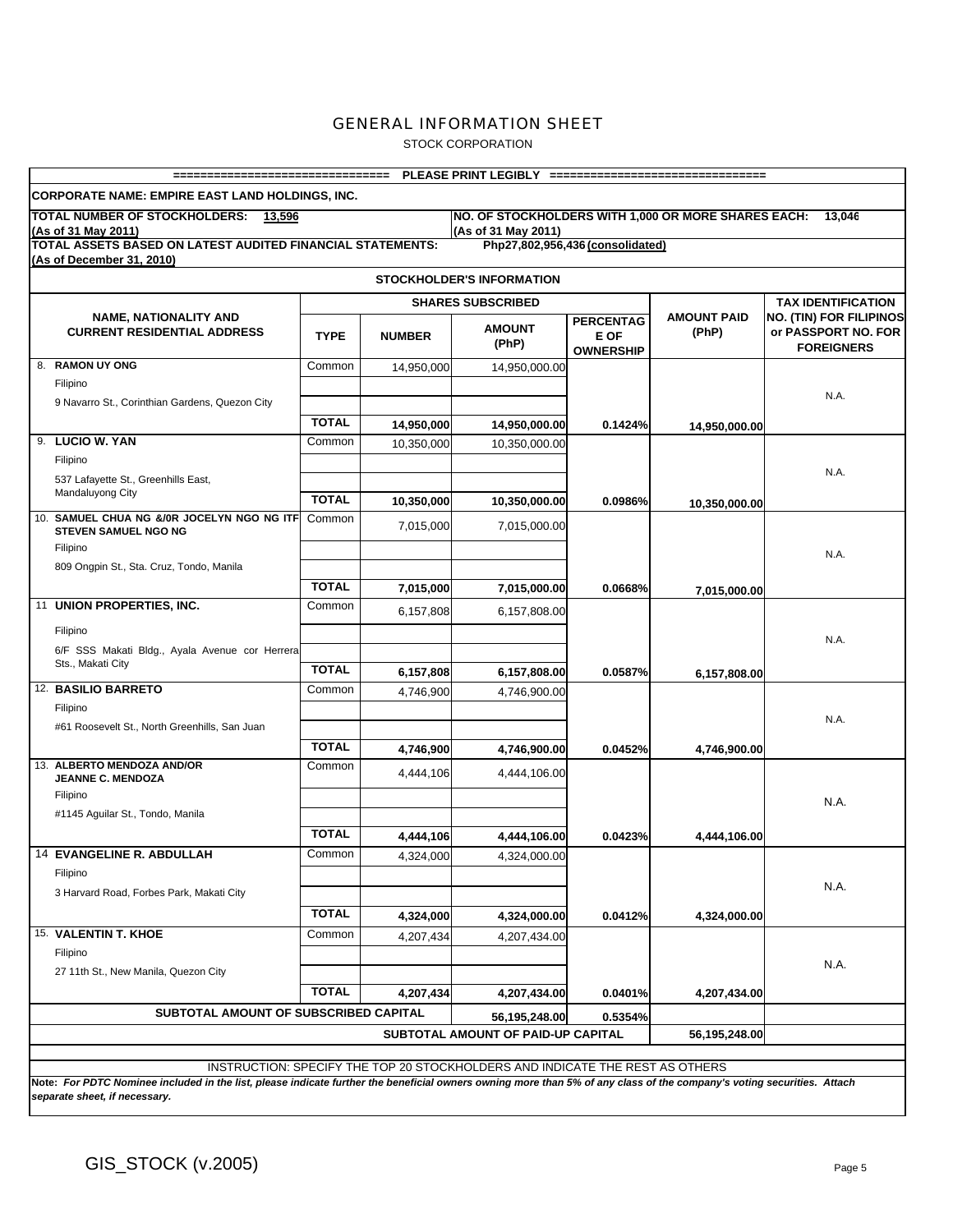STOCK CORPORATION

| =================================                                                              |              |               | PLEASE PRINT LEGIBLY =================================                       |                                              |                             |                                                                            |
|------------------------------------------------------------------------------------------------|--------------|---------------|------------------------------------------------------------------------------|----------------------------------------------|-----------------------------|----------------------------------------------------------------------------|
| <b>CORPORATE NAME: EMPIRE EAST LAND HOLDINGS, INC.</b>                                         |              |               |                                                                              |                                              |                             |                                                                            |
| TOTAL NUMBER OF STOCKHOLDERS:<br>13.596<br>(As of 31 May 2011)                                 |              |               | NO. OF STOCKHOLDERS WITH 1,000 OR MORE SHARES EACH:<br>(As of 31 May 2011)   |                                              |                             | 13,046                                                                     |
| <b>TOTAL ASSETS BASED ON LATEST AUDITED FINANCIAL STATEMENTS:</b><br>(As of December 31, 2010) |              |               |                                                                              | Php27,802,956,436 (consolidated)             |                             |                                                                            |
|                                                                                                |              |               | <b>STOCKHOLDER'S INFORMATION</b>                                             |                                              |                             |                                                                            |
|                                                                                                |              |               | <b>SHARES SUBSCRIBED</b>                                                     |                                              |                             | <b>TAX IDENTIFICATION</b>                                                  |
| <b>NAME, NATIONALITY AND</b><br><b>CURRENT RESIDENTIAL ADDRESS</b>                             | <b>TYPE</b>  | <b>NUMBER</b> | <b>AMOUNT</b><br>(PhP)                                                       | <b>PERCENTAG</b><br>E OF<br><b>OWNERSHIP</b> | <b>AMOUNT PAID</b><br>(PhP) | <b>NO. (TIN) FOR FILIPINOS</b><br>or PASSPORT NO. FOR<br><b>FOREIGNERS</b> |
| 8. RAMON UY ONG                                                                                | Common       | 14,950,000    | 14,950,000.00                                                                |                                              |                             |                                                                            |
| Filipino                                                                                       |              |               |                                                                              |                                              |                             | N.A.                                                                       |
| 9 Navarro St., Corinthian Gardens, Quezon City                                                 |              |               |                                                                              |                                              |                             |                                                                            |
|                                                                                                | <b>TOTAL</b> | 14,950,000    | 14,950,000.00                                                                | 0.1424%                                      | 14,950,000.00               |                                                                            |
| 9. LUCIO W. YAN                                                                                | Common       | 10,350,000    | 10,350,000.00                                                                |                                              |                             |                                                                            |
| Filipino                                                                                       |              |               |                                                                              |                                              |                             | N.A.                                                                       |
| 537 Lafayette St., Greenhills East,<br>Mandaluyong City                                        |              |               |                                                                              |                                              |                             |                                                                            |
|                                                                                                | <b>TOTAL</b> | 10,350,000    | 10.350.000.00                                                                | 0.0986%                                      | 10,350,000.00               |                                                                            |
| 10. SAMUEL CHUA NG &/0R JOCELYN NGO NG ITF<br><b>STEVEN SAMUEL NGO NG</b><br>Filipino          | Common       | 7,015,000     | 7,015,000.00                                                                 |                                              |                             |                                                                            |
| 809 Ongpin St., Sta. Cruz, Tondo, Manila                                                       |              |               |                                                                              |                                              |                             | N.A.                                                                       |
|                                                                                                | <b>TOTAL</b> |               |                                                                              |                                              |                             |                                                                            |
| 11 UNION PROPERTIES, INC.                                                                      | Common       | 7,015,000     | 7,015,000.00                                                                 | 0.0668%                                      | 7,015,000.00                |                                                                            |
|                                                                                                |              | 6,157,808     | 6,157,808.00                                                                 |                                              |                             |                                                                            |
| Filipino                                                                                       |              |               |                                                                              |                                              |                             | N.A.                                                                       |
| 6/F SSS Makati Bldg., Ayala Avenue cor Herrera                                                 |              |               |                                                                              |                                              |                             |                                                                            |
| Sts., Makati City                                                                              | <b>TOTAL</b> | 6,157,808     | 6,157,808.00                                                                 | 0.0587%                                      | 6,157,808.00                |                                                                            |
| 12. BASILIO BARRETO                                                                            | Common       | 4,746,900     | 4,746,900.00                                                                 |                                              |                             |                                                                            |
| Filipino                                                                                       |              |               |                                                                              |                                              |                             | N.A.                                                                       |
| #61 Roosevelt St., North Greenhills, San Juan                                                  |              |               |                                                                              |                                              |                             |                                                                            |
|                                                                                                | <b>TOTAL</b> | 4,746,900     | 4,746,900.00                                                                 | 0.0452%                                      | 4,746,900.00                |                                                                            |
| 13. ALBERTO MENDOZA AND/OR<br><b>JEANNE C. MENDOZA</b>                                         | Common       | 4,444,106     | 4,444,106.00                                                                 |                                              |                             |                                                                            |
| Filipino                                                                                       |              |               |                                                                              |                                              |                             |                                                                            |
| #1145 Aguilar St., Tondo, Manila                                                               |              |               |                                                                              |                                              |                             | N.A.                                                                       |
|                                                                                                | <b>TOTAL</b> |               |                                                                              |                                              |                             |                                                                            |
| <b>14 EVANGELINE R. ABDULLAH</b>                                                               | Common       | 4,444,106     | 4,444,106.00                                                                 | 0.0423%                                      | 4,444,106.00                |                                                                            |
| Filipino                                                                                       |              | 4,324,000     | 4,324,000.00                                                                 |                                              |                             |                                                                            |
| 3 Harvard Road, Forbes Park, Makati City                                                       |              |               |                                                                              |                                              |                             | N.A.                                                                       |
|                                                                                                |              |               |                                                                              |                                              |                             |                                                                            |
|                                                                                                | <b>TOTAL</b> | 4,324,000     | 4,324,000.00                                                                 | 0.0412%                                      | 4,324,000.00                |                                                                            |
| 15. VALENTIN T. KHOE                                                                           | Common       | 4,207,434     | 4,207,434.00                                                                 |                                              |                             |                                                                            |
| Filipino                                                                                       |              |               |                                                                              |                                              |                             | N.A.                                                                       |
| 27 11th St., New Manila, Quezon City                                                           |              |               |                                                                              |                                              |                             |                                                                            |
|                                                                                                | <b>TOTAL</b> | 4,207,434     | 4,207,434.00                                                                 | 0.0401%                                      | 4,207,434.00                |                                                                            |
| SUBTOTAL AMOUNT OF SUBSCRIBED CAPITAL                                                          |              |               | 56,195,248.00                                                                | 0.5354%                                      |                             |                                                                            |
|                                                                                                |              |               | SUBTOTAL AMOUNT OF PAID-UP CAPITAL                                           |                                              | 56,195,248.00               |                                                                            |
|                                                                                                |              |               |                                                                              |                                              |                             |                                                                            |
|                                                                                                |              |               | INSTRUCTION: SPECIFY THE TOP 20 STOCKHOLDERS AND INDICATE THE REST AS OTHERS |                                              |                             |                                                                            |

**Note:** *For PDTC Nominee included in the list, please indicate further the beneficial owners owning more than 5% of any class of the company's voting securities. Attach separate sheet, if necessary.*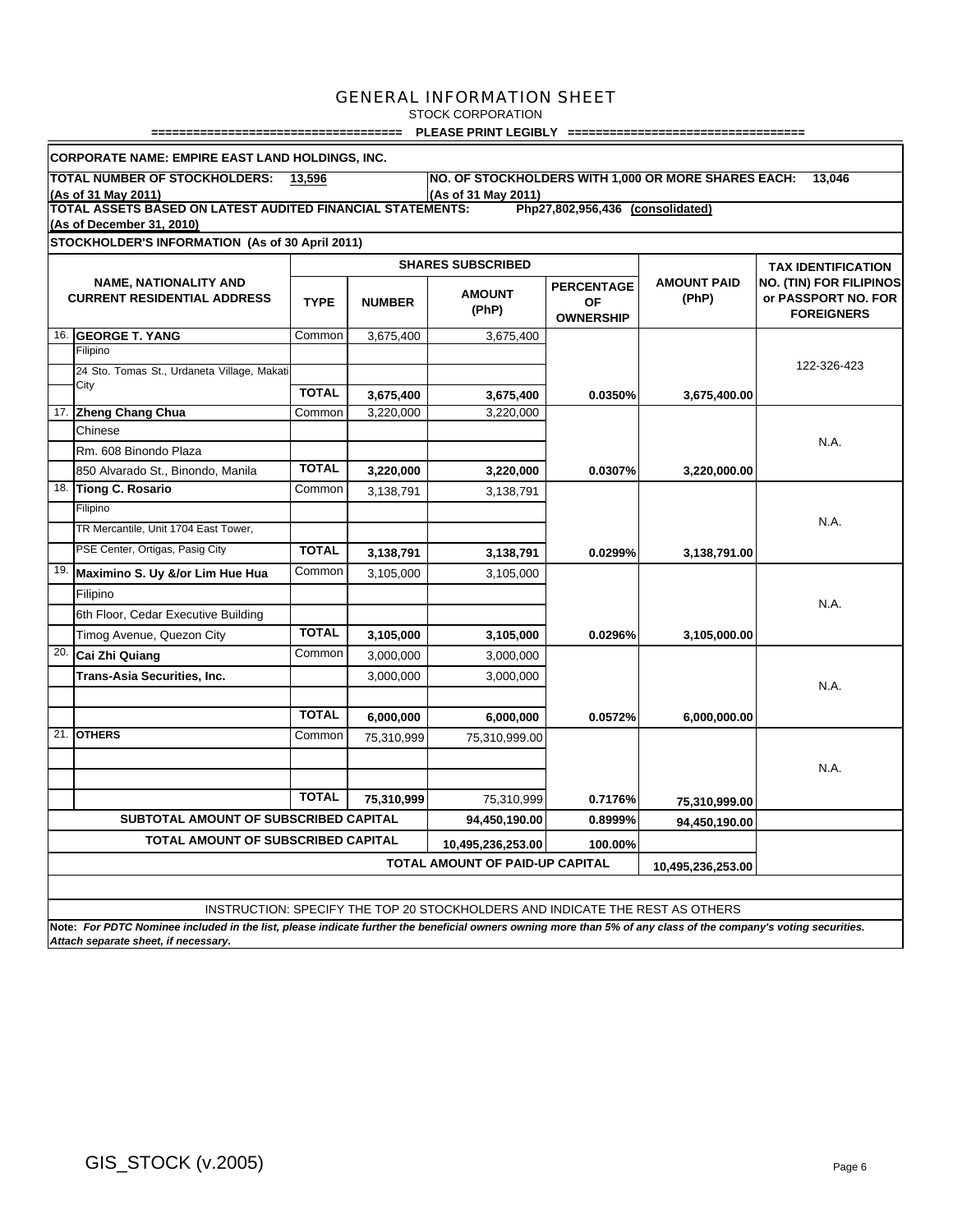STOCK CORPORATION

**==================================== PLEASE PRINT LEGIBLY ==================================**

|     | <b>CORPORATE NAME: EMPIRE EAST LAND HOLDINGS, INC.</b>                                                                                                          |                              |            |                                                                              |                                                    |                             |                                                                            |
|-----|-----------------------------------------------------------------------------------------------------------------------------------------------------------------|------------------------------|------------|------------------------------------------------------------------------------|----------------------------------------------------|-----------------------------|----------------------------------------------------------------------------|
|     | TOTAL NUMBER OF STOCKHOLDERS:                                                                                                                                   | 13,596                       |            | NO. OF STOCKHOLDERS WITH 1,000 OR MORE SHARES EACH:                          |                                                    |                             | 13.046                                                                     |
|     | (As of 31 May 2011)<br>TOTAL ASSETS BASED ON LATEST AUDITED FINANCIAL STATEMENTS:                                                                               |                              |            | (As of 31 May 2011)                                                          |                                                    |                             |                                                                            |
|     | (As of December 31, 2010)                                                                                                                                       |                              |            |                                                                              | Php27,802,956,436 (consolidated)                   |                             |                                                                            |
|     | STOCKHOLDER'S INFORMATION (As of 30 April 2011)                                                                                                                 |                              |            |                                                                              |                                                    |                             |                                                                            |
|     |                                                                                                                                                                 |                              |            | <b>SHARES SUBSCRIBED</b>                                                     |                                                    |                             | <b>TAX IDENTIFICATION</b>                                                  |
|     | <b>NAME, NATIONALITY AND</b><br><b>CURRENT RESIDENTIAL ADDRESS</b>                                                                                              | <b>TYPE</b><br><b>NUMBER</b> |            | <b>AMOUNT</b><br>(PhP)                                                       | <b>PERCENTAGE</b><br><b>OF</b><br><b>OWNERSHIP</b> | <b>AMOUNT PAID</b><br>(PhP) | <b>NO. (TIN) FOR FILIPINOS</b><br>or PASSPORT NO. FOR<br><b>FOREIGNERS</b> |
|     | 16. GEORGE T. YANG                                                                                                                                              | Common                       | 3,675,400  | 3,675,400                                                                    |                                                    |                             |                                                                            |
|     | Filipino                                                                                                                                                        |                              |            |                                                                              |                                                    |                             |                                                                            |
|     | 24 Sto. Tomas St., Urdaneta Village, Makati<br>City                                                                                                             |                              |            |                                                                              |                                                    |                             | 122-326-423                                                                |
|     |                                                                                                                                                                 | <b>TOTAL</b>                 | 3,675,400  | 3,675,400                                                                    | 0.0350%                                            | 3,675,400.00                |                                                                            |
|     | 17. Zheng Chang Chua                                                                                                                                            | Common                       | 3,220,000  | 3,220,000                                                                    |                                                    |                             |                                                                            |
|     | Chinese                                                                                                                                                         |                              |            |                                                                              |                                                    |                             | N.A.                                                                       |
|     | Rm. 608 Binondo Plaza                                                                                                                                           |                              |            |                                                                              |                                                    |                             |                                                                            |
|     | 850 Alvarado St., Binondo, Manila                                                                                                                               | <b>TOTAL</b>                 | 3,220,000  | 3,220,000                                                                    | 0.0307%                                            | 3,220,000.00                |                                                                            |
| 18. | <b>Tiong C. Rosario</b>                                                                                                                                         | Common                       | 3,138,791  | 3,138,791                                                                    |                                                    |                             |                                                                            |
|     | Filipino                                                                                                                                                        |                              |            |                                                                              |                                                    |                             | N.A.                                                                       |
|     | TR Mercantile, Unit 1704 East Tower,                                                                                                                            |                              |            |                                                                              |                                                    |                             |                                                                            |
|     | PSE Center, Ortigas, Pasig City                                                                                                                                 | <b>TOTAL</b>                 | 3,138,791  | 3,138,791                                                                    | 0.0299%                                            | 3,138,791.00                |                                                                            |
| 19. | Maximino S. Uy &/or Lim Hue Hua                                                                                                                                 | Common                       | 3,105,000  | 3,105,000                                                                    |                                                    |                             |                                                                            |
|     | Filipino                                                                                                                                                        |                              |            |                                                                              |                                                    |                             | N.A.                                                                       |
|     | 6th Floor, Cedar Executive Building                                                                                                                             |                              |            |                                                                              |                                                    |                             |                                                                            |
|     | Timog Avenue, Quezon City                                                                                                                                       | <b>TOTAL</b>                 | 3,105,000  | 3,105,000                                                                    | 0.0296%                                            | 3,105,000.00                |                                                                            |
| 20. | Cai Zhi Quiang                                                                                                                                                  | Common                       | 3,000,000  | 3,000,000                                                                    |                                                    |                             |                                                                            |
|     | Trans-Asia Securities, Inc.                                                                                                                                     |                              | 3.000.000  | 3.000.000                                                                    |                                                    |                             |                                                                            |
|     |                                                                                                                                                                 |                              |            |                                                                              |                                                    |                             | N.A.                                                                       |
|     |                                                                                                                                                                 | <b>TOTAL</b>                 | 6,000,000  | 6,000,000                                                                    | 0.0572%                                            | 6,000,000.00                |                                                                            |
|     | 21. OTHERS                                                                                                                                                      | Common                       | 75,310,999 | 75,310,999.00                                                                |                                                    |                             |                                                                            |
|     |                                                                                                                                                                 |                              |            |                                                                              |                                                    |                             |                                                                            |
|     |                                                                                                                                                                 |                              |            |                                                                              |                                                    |                             | N.A.                                                                       |
|     |                                                                                                                                                                 | <b>TOTAL</b>                 | 75.310.999 | 75,310,999                                                                   | 0.7176%                                            | 75,310,999.00               |                                                                            |
|     | SUBTOTAL AMOUNT OF SUBSCRIBED CAPITAL                                                                                                                           |                              |            | 94,450,190.00                                                                | 0.8999%                                            | 94,450,190.00               |                                                                            |
|     | <b>TOTAL AMOUNT OF SUBSCRIBED CAPITAL</b>                                                                                                                       |                              |            | 10,495,236,253.00                                                            | 100.00%                                            |                             |                                                                            |
|     |                                                                                                                                                                 |                              |            | <b>TOTAL AMOUNT OF PAID-UP CAPITAL</b>                                       |                                                    | 10,495,236,253.00           |                                                                            |
|     |                                                                                                                                                                 |                              |            |                                                                              |                                                    |                             |                                                                            |
|     |                                                                                                                                                                 |                              |            |                                                                              |                                                    |                             |                                                                            |
|     | Note: For PDTC Nominee included in the list, please indicate further the beneficial owners owning more than 5% of any class of the company's voting securities. |                              |            | INSTRUCTION: SPECIFY THE TOP 20 STOCKHOLDERS AND INDICATE THE REST AS OTHERS |                                                    |                             |                                                                            |
|     | Attach separate sheet, if necessary.                                                                                                                            |                              |            |                                                                              |                                                    |                             |                                                                            |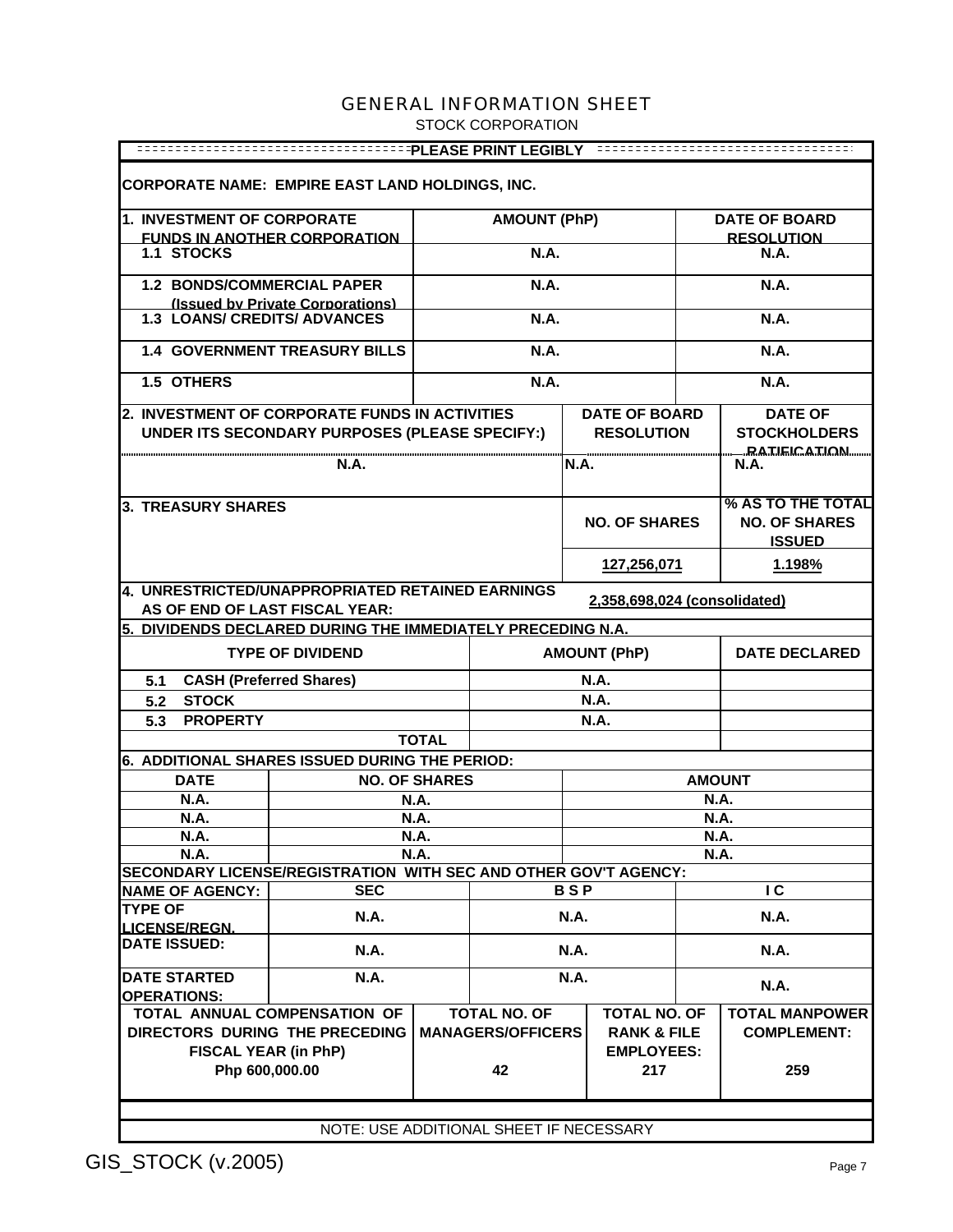STOCK CORPORATION

| <b>CORPORATE NAME: EMPIRE EAST LAND HOLDINGS, INC.</b>                                                             |                                                                       |                      |                                                 |                                               |                      |               |                                                            |  |
|--------------------------------------------------------------------------------------------------------------------|-----------------------------------------------------------------------|----------------------|-------------------------------------------------|-----------------------------------------------|----------------------|---------------|------------------------------------------------------------|--|
| 1. INVESTMENT OF CORPORATE                                                                                         |                                                                       |                      | <b>AMOUNT (PhP)</b>                             |                                               |                      |               | <b>DATE OF BOARD</b>                                       |  |
|                                                                                                                    | <b>FUNDS IN ANOTHER CORPORATION</b>                                   |                      |                                                 |                                               |                      |               | <b>RESOLUTION</b>                                          |  |
| <b>1.1 STOCKS</b>                                                                                                  |                                                                       |                      | <b>N.A.</b>                                     |                                               |                      |               | N.A.                                                       |  |
| 1.2 BONDS/COMMERCIAL PAPER                                                                                         |                                                                       |                      | <b>N.A.</b>                                     |                                               |                      |               | <b>N.A.</b>                                                |  |
| <b>1.3 LOANS/ CREDITS/ ADVANCES</b>                                                                                | (Issued by Private Corporations)                                      |                      | <b>N.A.</b>                                     |                                               |                      |               | <b>N.A.</b>                                                |  |
|                                                                                                                    | <b>1.4 GOVERNMENT TREASURY BILLS</b>                                  |                      | <b>N.A.</b>                                     |                                               |                      |               | <b>N.A.</b>                                                |  |
| 1.5 OTHERS                                                                                                         |                                                                       |                      | <b>N.A.</b>                                     |                                               |                      |               | <b>N.A.</b>                                                |  |
| 2. INVESTMENT OF CORPORATE FUNDS IN ACTIVITIES                                                                     |                                                                       |                      |                                                 |                                               | <b>DATE OF BOARD</b> |               | <b>DATE OF</b>                                             |  |
|                                                                                                                    | UNDER ITS SECONDARY PURPOSES (PLEASE SPECIFY:)                        |                      |                                                 |                                               | <b>RESOLUTION</b>    |               | <b>STOCKHOLDERS</b>                                        |  |
|                                                                                                                    | N.A.                                                                  |                      |                                                 | <b>N.A.</b>                                   |                      |               | <u>__RATIEICATION</u><br>N.A.                              |  |
| 3. TREASURY SHARES                                                                                                 |                                                                       |                      |                                                 |                                               | <b>NO. OF SHARES</b> |               | % AS TO THE TOTAL<br><b>NO. OF SHARES</b><br><b>ISSUED</b> |  |
|                                                                                                                    |                                                                       |                      |                                                 |                                               | 127,256,071          |               | 1.198%                                                     |  |
| 4. UNRESTRICTED/UNAPPROPRIATED RETAINED EARNINGS<br>2,358,698,024 (consolidated)<br>AS OF END OF LAST FISCAL YEAR: |                                                                       |                      |                                                 |                                               |                      |               |                                                            |  |
| 5. DIVIDENDS DECLARED DURING THE IMMEDIATELY PRECEDING N.A.                                                        |                                                                       |                      |                                                 |                                               |                      |               |                                                            |  |
|                                                                                                                    | <b>TYPE OF DIVIDEND</b>                                               |                      |                                                 |                                               | <b>AMOUNT (PhP)</b>  |               | <b>DATE DECLARED</b>                                       |  |
| 5.1                                                                                                                | <b>CASH (Preferred Shares)</b>                                        |                      |                                                 |                                               | <b>N.A.</b>          |               |                                                            |  |
| <b>STOCK</b><br>5.2                                                                                                |                                                                       |                      |                                                 |                                               | <b>N.A.</b>          |               |                                                            |  |
| <b>PROPERTY</b><br>5.3                                                                                             |                                                                       |                      |                                                 |                                               | <b>N.A.</b>          |               |                                                            |  |
|                                                                                                                    |                                                                       | <b>TOTAL</b>         |                                                 |                                               |                      |               |                                                            |  |
| 6. ADDITIONAL SHARES ISSUED DURING THE PERIOD:                                                                     |                                                                       |                      |                                                 |                                               |                      |               |                                                            |  |
| <b>DATE</b>                                                                                                        |                                                                       | <b>NO. OF SHARES</b> |                                                 |                                               |                      | <b>AMOUNT</b> |                                                            |  |
| <b>N.A.</b>                                                                                                        |                                                                       | <b>N.A.</b>          |                                                 |                                               |                      | <b>N.A.</b>   |                                                            |  |
| N.A.                                                                                                               |                                                                       | N.A.                 |                                                 |                                               |                      | N.A.          |                                                            |  |
| <b>N.A.</b>                                                                                                        |                                                                       | <b>N.A.</b>          |                                                 |                                               |                      | <b>N.A.</b>   |                                                            |  |
| <b>N.A.</b>                                                                                                        |                                                                       | <b>N.A.</b>          |                                                 |                                               |                      | <b>N.A.</b>   |                                                            |  |
| SECONDARY LICENSE/REGISTRATION WITH SEC AND OTHER GOV'T AGENCY:                                                    | <b>SEC</b>                                                            |                      |                                                 | <b>BSP</b>                                    |                      |               | $\overline{c}$                                             |  |
| <b>NAME OF AGENCY:</b><br><b>TYPE OF</b>                                                                           |                                                                       |                      |                                                 |                                               |                      |               |                                                            |  |
| <b>LICENSE/REGN.</b>                                                                                               | N.A.                                                                  |                      |                                                 | <b>N.A.</b>                                   |                      |               | N.A.                                                       |  |
| <b>DATE ISSUED:</b>                                                                                                | N.A.                                                                  |                      |                                                 | N.A.                                          |                      | N.A.          |                                                            |  |
| <b>DATE STARTED</b>                                                                                                | N.A.                                                                  |                      |                                                 | <b>N.A.</b>                                   |                      |               | N.A.                                                       |  |
| <b>OPERATIONS:</b>                                                                                                 |                                                                       |                      |                                                 |                                               |                      |               |                                                            |  |
|                                                                                                                    | <b>TOTAL ANNUAL COMPENSATION OF</b><br>DIRECTORS DURING THE PRECEDING |                      | <b>TOTAL NO. OF</b><br><b>MANAGERS/OFFICERS</b> | <b>TOTAL NO. OF</b><br><b>RANK &amp; FILE</b> |                      |               | <b>TOTAL MANPOWER</b><br><b>COMPLEMENT:</b>                |  |
| FISCAL YEAR (in PhP)<br><b>EMPLOYEES:</b>                                                                          |                                                                       |                      |                                                 |                                               |                      |               |                                                            |  |
| Php 600,000.00                                                                                                     |                                                                       |                      | 42                                              |                                               | 217                  |               | 259                                                        |  |
| NOTE: HOE ADDITIONAL OUEET IF NEOFOCADV                                                                            |                                                                       |                      |                                                 |                                               |                      |               |                                                            |  |

NOTE: USE ADDITIONAL SHEET IF NECESSARY

H